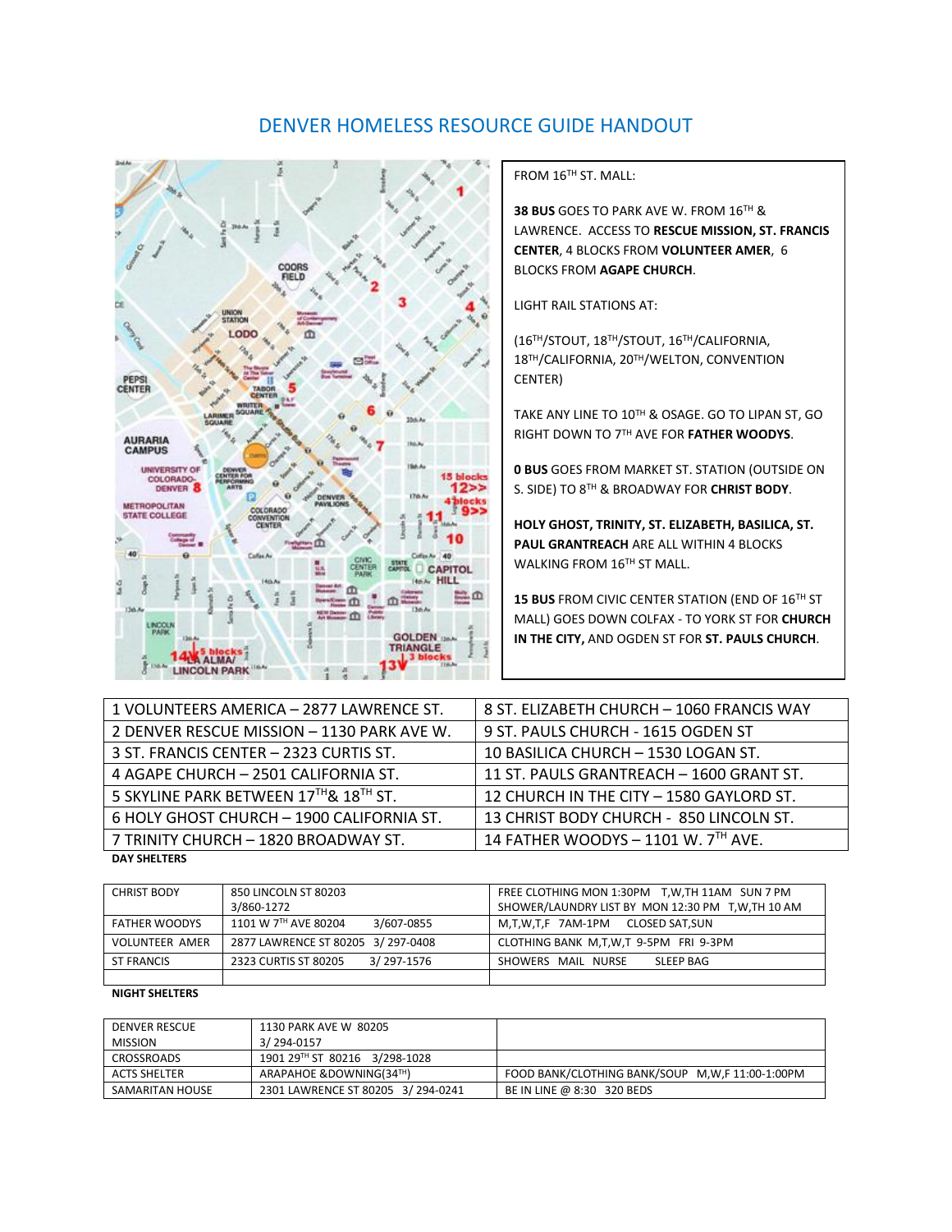# DENVER HOMELESS RESOURCE GUIDE HANDOUT



FROM 16<sup>TH</sup> ST. MALL:

**38 BUS** GOES TO PARK AVE W. FROM 16TH & LAWRENCE. ACCESS TO **RESCUE MISSION, ST. FRANCIS CENTER**, 4 BLOCKS FROM **VOLUNTEER AMER**, 6 BLOCKS FROM **AGAPE CHURCH**.

LIGHT RAIL STATIONS AT:

(16TH/STOUT, 18TH/STOUT, 16TH/CALIFORNIA, 18TH/CALIFORNIA, 20TH/WELTON, CONVENTION CENTER)

TAKE ANY LINE TO 10TH & OSAGE. GO TO LIPAN ST, GO RIGHT DOWN TO 7TH AVE FOR **FATHER WOODYS**.

**0 BUS** GOES FROM MARKET ST. STATION (OUTSIDE ON S. SIDE) TO 8TH & BROADWAY FOR **CHRIST BODY**.

**HOLY GHOST, TRINITY, ST. ELIZABETH, BASILICA, ST. PAUL GRANTREACH** ARE ALL WITHIN 4 BLOCKS WALKING FROM 16TH ST MALL.

15 BUS FROM CIVIC CENTER STATION (END OF 16<sup>TH</sup> ST MALL) GOES DOWN COLFAX - TO YORK ST FOR **CHURCH IN THE CITY,** AND OGDEN ST FOR **ST. PAULS CHURCH**.

| 1 VOLUNTEERS AMERICA - 2877 LAWRENCE ST.   | 8 ST. ELIZABETH CHURCH - 1060 FRANCIS WAY |
|--------------------------------------------|-------------------------------------------|
| 2 DENVER RESCUE MISSION - 1130 PARK AVE W. | 9 ST. PAULS CHURCH - 1615 OGDEN ST        |
| 3 ST. FRANCIS CENTER - 2323 CURTIS ST.     | 10 BASILICA CHURCH - 1530 LOGAN ST.       |
| 4 AGAPE CHURCH - 2501 CALIFORNIA ST.       | 11 ST. PAULS GRANTREACH - 1600 GRANT ST.  |
| 5 SKYLINE PARK BETWEEN 17TH & 18TH ST.     | 12 CHURCH IN THE CITY - 1580 GAYLORD ST.  |
| 6 HOLY GHOST CHURCH - 1900 CALIFORNIA ST.  | 13 CHRIST BODY CHURCH - 850 LINCOLN ST.   |
| 7 TRINITY CHURCH - 1820 BROADWAY ST.       | 14 FATHER WOODYS - 1101 W. 7TH AVE.       |
| <b>DAY SHELTERS</b>                        |                                           |

| <b>CHRIST BODY</b>    | 850 LINCOLN ST 80203               | FREE CLOTHING MON 1:30PM T.W.TH 11AM SUN 7 PM      |  |  |
|-----------------------|------------------------------------|----------------------------------------------------|--|--|
|                       | 3/860-1272                         | SHOWER/LAUNDRY LIST BY MON 12:30 PM T, W, TH 10 AM |  |  |
| <b>FATHER WOODYS</b>  | 1101 W 7TH AVE 80204<br>3/607-0855 | M.T.W.T.F 7AM-1PM<br>CLOSED SAT,SUN                |  |  |
| <b>VOLUNTEER AMER</b> | 2877 LAWRENCE ST 80205 3/297-0408  | CLOTHING BANK M,T,W,T 9-5PM FRI 9-3PM              |  |  |
| ST FRANCIS            | 3/297-1576<br>2323 CURTIS ST 80205 | SLEEP BAG<br>SHOWERS MAIL NURSE                    |  |  |
|                       |                                    |                                                    |  |  |

#### **NIGHT SHELTERS**

| <b>DENVER RESCUE</b> | 1130 PARK AVE W 80205             |                                                 |
|----------------------|-----------------------------------|-------------------------------------------------|
| <b>MISSION</b>       | 3/ 294-0157                       |                                                 |
| CROSSROADS           | 1901 29TH ST 80216 3/298-1028     |                                                 |
| <b>ACTS SHELTER</b>  | ARAPAHOE & DOWNING (34TH)         | FOOD BANK/CLOTHING BANK/SOUP M.W.F 11:00-1:00PM |
| SAMARITAN HOUSE      | 2301 LAWRENCE ST 80205 3/294-0241 | BE IN LINE @ 8:30 320 BEDS                      |